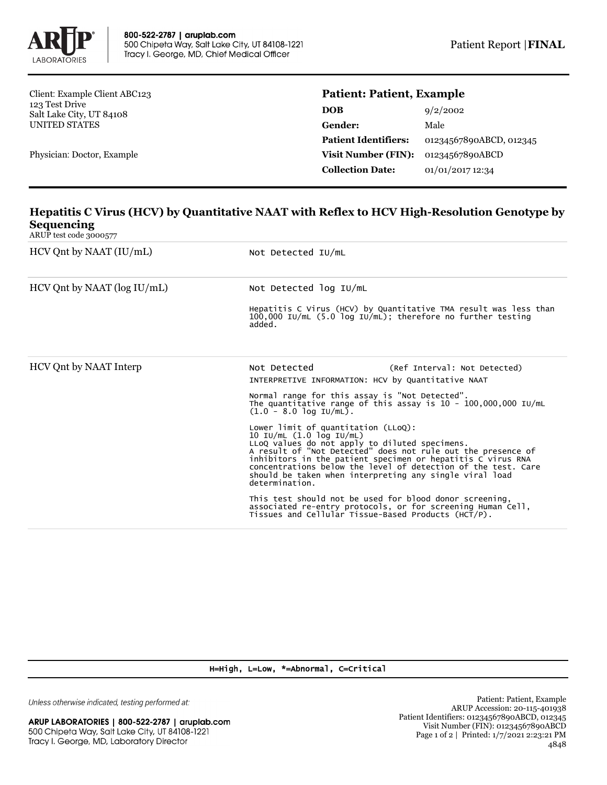

Client: Example Client ABC123 123 Test Drive Salt Lake City, UT 84108 UNITED STATES

Physician: Doctor, Example

## **Patient: Patient, Example**

| 9/2/2002                |
|-------------------------|
| Male                    |
| 01234567890ABCD, 012345 |
| 01234567890ABCD         |
| 01/01/2017 12:34        |
|                         |

## **Hepatitis C Virus (HCV) by Quantitative NAAT with Reflex to HCV High-Resolution Genotype by Sequencing**

ARUP test code 3000577

| $HCV$ Qnt by NAAT $(IU/mL)$      | Not Detected IU/mL                                                                                                                                                                                                                                                                                                                                                                                |  |  |
|----------------------------------|---------------------------------------------------------------------------------------------------------------------------------------------------------------------------------------------------------------------------------------------------------------------------------------------------------------------------------------------------------------------------------------------------|--|--|
| $HCV$ Qnt by NAAT ( $log$ IU/mL) | Not Detected log IU/mL                                                                                                                                                                                                                                                                                                                                                                            |  |  |
|                                  | Hepatitis C Virus (HCV) by Quantitative TMA result was less than<br>$100,000$ IU/mL (5.0 log IU/mL); therefore no further testing<br>added.                                                                                                                                                                                                                                                       |  |  |
| HCV Ont by NAAT Interp           | Not Detected<br>(Ref Interval: Not Detected)<br>INTERPRETIVE INFORMATION: HCV by Quantitative NAAT                                                                                                                                                                                                                                                                                                |  |  |
|                                  | Normal range for this assay is "Not Detected".<br>The quantitative range of this assay is $10 - 100,000,000$ IU/mL<br>$(1.0 - 8.0 \log \text{IU/mL}).$                                                                                                                                                                                                                                            |  |  |
|                                  | Lower limit of quantitation $(LLoQ)$ :<br>10 IU/mL (1.0 log IU/mL)<br>LLoQ values do not apply to diluted specimens.<br>A result of "Not Detected" does not rule out the presence of<br>inhibitors in the patient specimen or hepatitis C virus RNA<br>concentrations below the level of detection of the test. Care<br>should be taken when interpreting any single viral load<br>determination. |  |  |
|                                  | This test should not be used for blood donor screening,<br>associated re-entry protocols, or for screening Human Cell,<br>Tissues and Cellular Tissue-Based Products (HCT/P).                                                                                                                                                                                                                     |  |  |

## H=High, L=Low, \*=Abnormal, C=Critical

Unless otherwise indicated, testing performed at: